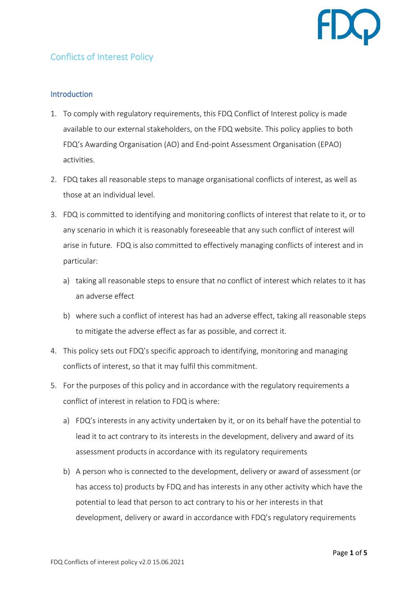

## Conflicts of Interest Policy

## **Introduction**

- 1. To comply with regulatory requirements, this FDQ Conflict of Interest policy is made available to our external stakeholders, on the FDQ website. This policy applies to both FDQ's Awarding Organisation (AO) and End-point Assessment Organisation (EPAO) activities.
- 2. FDQ takes all reasonable steps to manage organisational conflicts of interest, as well as those at an individual level.
- 3. FDQ is committed to identifying and monitoring conflicts of interest that relate to it, or to any scenario in which it is reasonably foreseeable that any such conflict of interest will arise in future. FDQ is also committed to effectively managing conflicts of interest and in particular:
	- a) taking all reasonable steps to ensure that no conflict of interest which relates to it has an adverse effect
	- b) where such a conflict of interest has had an adverse effect, taking all reasonable steps to mitigate the adverse effect as far as possible, and correct it.
- 4. This policy sets out FDQ's specific approach to identifying, monitoring and managing conflicts of interest, so that it may fulfil this commitment.
- 5. For the purposes of this policy and in accordance with the regulatory requirements a conflict of interest in relation to FDQ is where:
	- a) FDQ's interests in any activity undertaken by it, or on its behalf have the potential to lead it to act contrary to its interests in the development, delivery and award of its assessment products in accordance with its regulatory requirements
	- b) A person who is connected to the development, delivery or award of assessment (or has access to) products by FDQ and has interests in any other activity which have the potential to lead that person to act contrary to his or her interests in that development, delivery or award in accordance with FDQ's regulatory requirements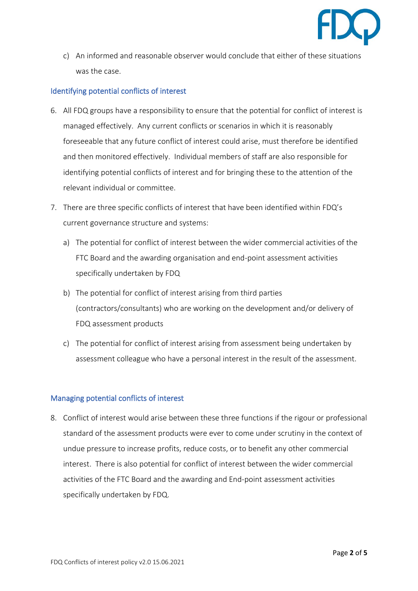

c) An informed and reasonable observer would conclude that either of these situations was the case.

## Identifying potential conflicts of interest

- 6. All FDQ groups have a responsibility to ensure that the potential for conflict of interest is managed effectively. Any current conflicts or scenarios in which it is reasonably foreseeable that any future conflict of interest could arise, must therefore be identified and then monitored effectively. Individual members of staff are also responsible for identifying potential conflicts of interest and for bringing these to the attention of the relevant individual or committee.
- 7. There are three specific conflicts of interest that have been identified within FDQ's current governance structure and systems:
	- a) The potential for conflict of interest between the wider commercial activities of the FTC Board and the awarding organisation and end-point assessment activities specifically undertaken by FDQ
	- b) The potential for conflict of interest arising from third parties (contractors/consultants) who are working on the development and/or delivery of FDQ assessment products
	- c) The potential for conflict of interest arising from assessment being undertaken by assessment colleague who have a personal interest in the result of the assessment.

## Managing potential conflicts of interest

8. Conflict of interest would arise between these three functions if the rigour or professional standard of the assessment products were ever to come under scrutiny in the context of undue pressure to increase profits, reduce costs, or to benefit any other commercial interest. There is also potential for conflict of interest between the wider commercial activities of the FTC Board and the awarding and End-point assessment activities specifically undertaken by FDQ.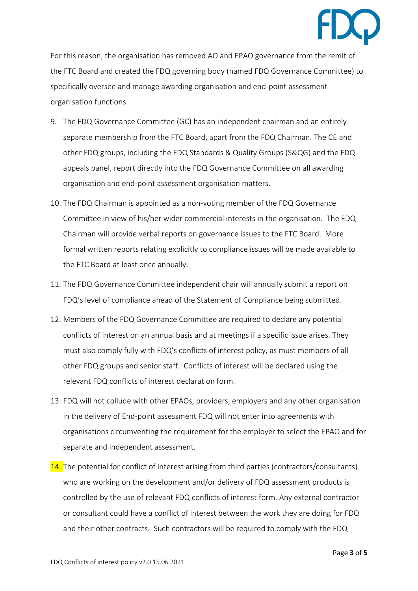

For this reason, the organisation has removed AO and EPAO governance from the remit of the FTC Board and created the FDQ governing body (named FDQ Governance Committee) to specifically oversee and manage awarding organisation and end-point assessment organisation functions.

- 9. The FDQ Governance Committee (GC) has an independent chairman and an entirely separate membership from the FTC Board, apart from the FDQ Chairman. The CE and other FDQ groups, including the FDQ Standards & Quality Groups (S&QG) and the FDQ appeals panel, report directly into the FDQ Governance Committee on all awarding organisation and end-point assessment organisation matters.
- 10. The FDQ Chairman is appointed as a non-voting member of the FDQ Governance Committee in view of his/her wider commercial interests in the organisation. The FDQ Chairman will provide verbal reports on governance issues to the FTC Board. More formal written reports relating explicitly to compliance issues will be made available to the FTC Board at least once annually.
- 11. The FDQ Governance Committee independent chair will annually submit a report on FDQ's level of compliance ahead of the Statement of Compliance being submitted.
- 12. Members of the FDQ Governance Committee are required to declare any potential conflicts of interest on an annual basis and at meetings if a specific issue arises. They must also comply fully with FDQ's conflicts of interest policy, as must members of all other FDQ groups and senior staff. Conflicts of interest will be declared using the relevant FDQ conflicts of interest declaration form.
- 13. FDQ will not collude with other EPAOs, providers, employers and any other organisation in the delivery of End-point assessment FDQ will not enter into agreements with organisations circumventing the requirement for the employer to select the EPAO and for separate and independent assessment.
- 14. The potential for conflict of interest arising from third parties (contractors/consultants) who are working on the development and/or delivery of FDQ assessment products is controlled by the use of relevant FDQ conflicts of interest form. Any external contractor or consultant could have a conflict of interest between the work they are doing for FDQ and their other contracts. Such contractors will be required to comply with the FDQ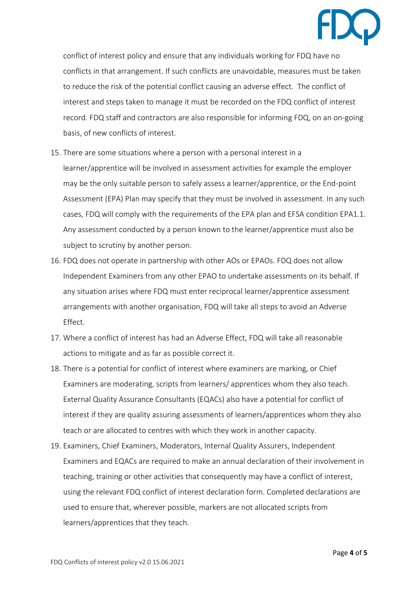

conflict of interest policy and ensure that any individuals working for FDQ have no conflicts in that arrangement. If such conflicts are unavoidable, measures must be taken to reduce the risk of the potential conflict causing an adverse effect. The conflict of interest and steps taken to manage it must be recorded on the FDQ conflict of interest record. FDQ staff and contractors are also responsible for informing FDQ, on an on-going basis, of new conflicts of interest.

- 15. There are some situations where a person with a personal interest in a learner/apprentice will be involved in assessment activities for example the employer may be the only suitable person to safely assess a learner/apprentice, or the End-point Assessment (EPA) Plan may specify that they must be involved in assessment. In any such cases, FDQ will comply with the requirements of the EPA plan and EFSA condition EPA1.1. Any assessment conducted by a person known to the learner/apprentice must also be subject to scrutiny by another person.
- 16. FDQ does not operate in partnership with other AOs or EPAOs. FDQ does not allow Independent Examiners from any other EPAO to undertake assessments on its behalf. If any situation arises where FDQ must enter reciprocal learner/apprentice assessment arrangements with another organisation, FDQ will take all steps to avoid an Adverse Effect.
- 17. Where a conflict of interest has had an Adverse Effect, FDQ will take all reasonable actions to mitigate and as far as possible correct it.
- 18. There is a potential for conflict of interest where examiners are marking, or Chief Examiners are moderating, scripts from learners/ apprentices whom they also teach. External Quality Assurance Consultants (EQACs) also have a potential for conflict of interest if they are quality assuring assessments of learners/apprentices whom they also teach or are allocated to centres with which they work in another capacity.
- 19. Examiners, Chief Examiners, Moderators, Internal Quality Assurers, Independent Examiners and EQACs are required to make an annual declaration of their involvement in teaching, training or other activities that consequently may have a conflict of interest, using the relevant FDQ conflict of interest declaration form. Completed declarations are used to ensure that, wherever possible, markers are not allocated scripts from learners/apprentices that they teach.